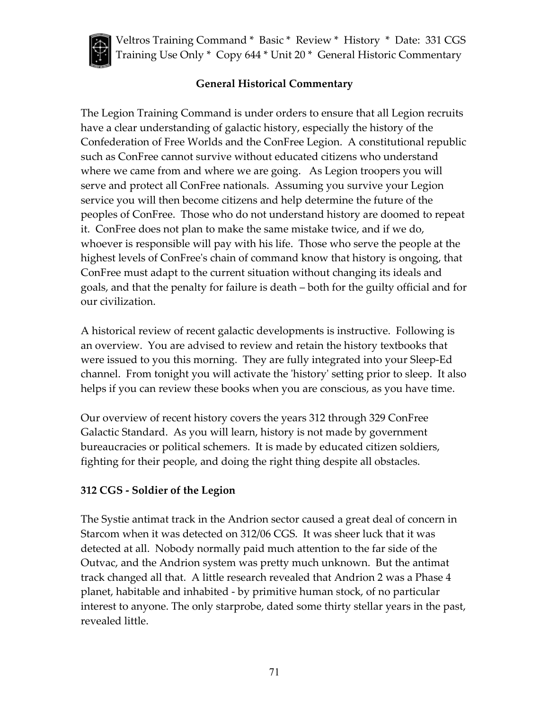

# **General Historical Commentary**

The Legion Training Command is under orders to ensure that all Legion recruits have a clear understanding of galactic history, especially the history of the Confederation of Free Worlds and the ConFree Legion. A constitutional republic such as ConFree cannot survive without educated citizens who understand where we came from and where we are going. As Legion troopers you will serve and protect all ConFree nationals. Assuming you survive your Legion service you will then become citizens and help determine the future of the peoples of ConFree. Those who do not understand history are doomed to repeat it. ConFree does not plan to make the same mistake twice, and if we do, whoever is responsible will pay with his life. Those who serve the people at the highest levels of ConFree's chain of command know that history is ongoing, that ConFree must adapt to the current situation without changing its ideals and goals, and that the penalty for failure is death – both for the guilty official and for our civilization.

A historical review of recent galactic developments is instructive. Following is an overview. You are advised to review and retain the history textbooks that were issued to you this morning. They are fully integrated into your Sleep-Ed channel. From tonight you will activate the 'history' setting prior to sleep. It also helps if you can review these books when you are conscious, as you have time.

Our overview of recent history covers the years 312 through 329 ConFree Galactic Standard. As you will learn, history is not made by government bureaucracies or political schemers. It is made by educated citizen soldiers, fighting for their people, and doing the right thing despite all obstacles.

## **312 CGS - Soldier of the Legion**

The Systie antimat track in the Andrion sector caused a great deal of concern in Starcom when it was detected on 312/06 CGS. It was sheer luck that it was detected at all. Nobody normally paid much attention to the far side of the Outvac, and the Andrion system was pretty much unknown. But the antimat track changed all that. A little research revealed that Andrion 2 was a Phase 4 planet, habitable and inhabited - by primitive human stock, of no particular interest to anyone. The only starprobe, dated some thirty stellar years in the past, revealed little.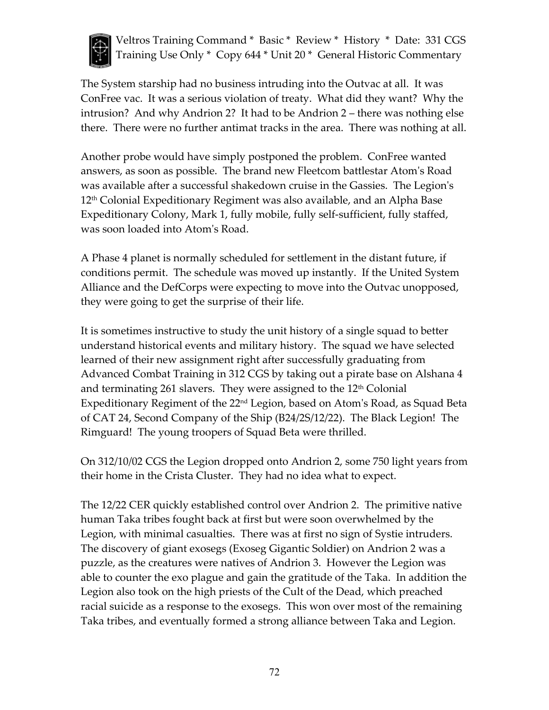

The System starship had no business intruding into the Outvac at all. It was ConFree vac. It was a serious violation of treaty. What did they want? Why the intrusion? And why Andrion 2? It had to be Andrion 2 – there was nothing else there. There were no further antimat tracks in the area. There was nothing at all.

Another probe would have simply postponed the problem. ConFree wanted answers, as soon as possible. The brand new Fleetcom battlestar Atom's Road was available after a successful shakedown cruise in the Gassies. The Legion's 12th Colonial Expeditionary Regiment was also available, and an Alpha Base Expeditionary Colony, Mark 1, fully mobile, fully self-sufficient, fully staffed, was soon loaded into Atom's Road.

A Phase 4 planet is normally scheduled for settlement in the distant future, if conditions permit. The schedule was moved up instantly. If the United System Alliance and the DefCorps were expecting to move into the Outvac unopposed, they were going to get the surprise of their life.

It is sometimes instructive to study the unit history of a single squad to better understand historical events and military history. The squad we have selected learned of their new assignment right after successfully graduating from Advanced Combat Training in 312 CGS by taking out a pirate base on Alshana 4 and terminating 261 slavers. They were assigned to the  $12<sup>th</sup>$  Colonial Expeditionary Regiment of the 22nd Legion, based on Atom's Road, as Squad Beta of CAT 24, Second Company of the Ship (B24/2S/12/22). The Black Legion! The Rimguard! The young troopers of Squad Beta were thrilled.

On 312/10/02 CGS the Legion dropped onto Andrion 2, some 750 light years from their home in the Crista Cluster. They had no idea what to expect.

The 12/22 CER quickly established control over Andrion 2. The primitive native human Taka tribes fought back at first but were soon overwhelmed by the Legion, with minimal casualties. There was at first no sign of Systie intruders. The discovery of giant exosegs (Exoseg Gigantic Soldier) on Andrion 2 was a puzzle, as the creatures were natives of Andrion 3. However the Legion was able to counter the exo plague and gain the gratitude of the Taka. In addition the Legion also took on the high priests of the Cult of the Dead, which preached racial suicide as a response to the exosegs. This won over most of the remaining Taka tribes, and eventually formed a strong alliance between Taka and Legion.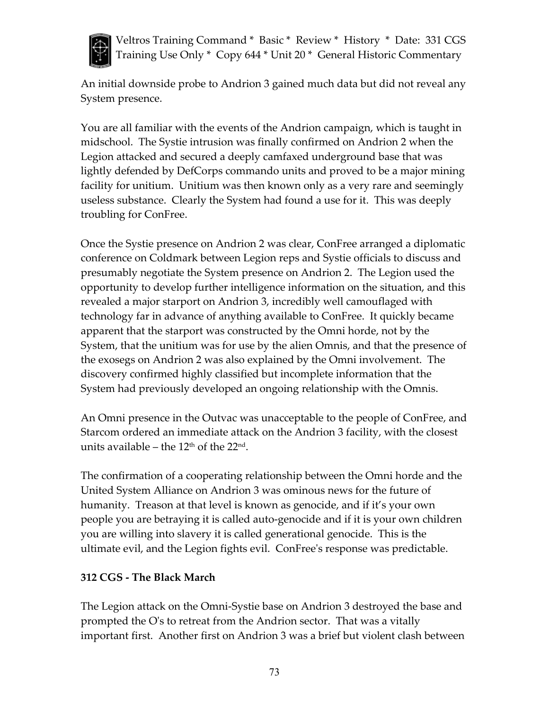

An initial downside probe to Andrion 3 gained much data but did not reveal any System presence.

You are all familiar with the events of the Andrion campaign, which is taught in midschool. The Systie intrusion was finally confirmed on Andrion 2 when the Legion attacked and secured a deeply camfaxed underground base that was lightly defended by DefCorps commando units and proved to be a major mining facility for unitium. Unitium was then known only as a very rare and seemingly useless substance. Clearly the System had found a use for it. This was deeply troubling for ConFree.

Once the Systie presence on Andrion 2 was clear, ConFree arranged a diplomatic conference on Coldmark between Legion reps and Systie officials to discuss and presumably negotiate the System presence on Andrion 2. The Legion used the opportunity to develop further intelligence information on the situation, and this revealed a major starport on Andrion 3, incredibly well camouflaged with technology far in advance of anything available to ConFree. It quickly became apparent that the starport was constructed by the Omni horde, not by the System, that the unitium was for use by the alien Omnis, and that the presence of the exosegs on Andrion 2 was also explained by the Omni involvement. The discovery confirmed highly classified but incomplete information that the System had previously developed an ongoing relationship with the Omnis.

An Omni presence in the Outvac was unacceptable to the people of ConFree, and Starcom ordered an immediate attack on the Andrion 3 facility, with the closest units available – the  $12<sup>th</sup>$  of the  $22<sup>nd</sup>$ .

The confirmation of a cooperating relationship between the Omni horde and the United System Alliance on Andrion 3 was ominous news for the future of humanity. Treason at that level is known as genocide, and if it's your own people you are betraying it is called auto-genocide and if it is your own children you are willing into slavery it is called generational genocide. This is the ultimate evil, and the Legion fights evil. ConFree's response was predictable.

#### **312 CGS - The Black March**

The Legion attack on the Omni-Systie base on Andrion 3 destroyed the base and prompted the O's to retreat from the Andrion sector. That was a vitally important first. Another first on Andrion 3 was a brief but violent clash between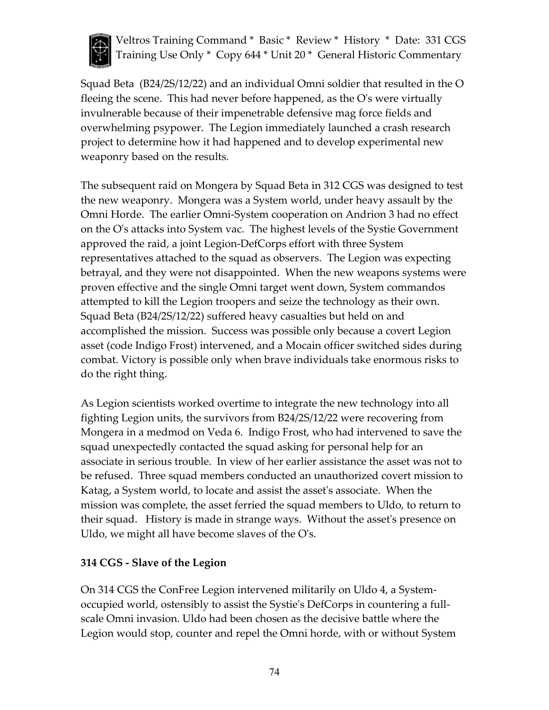

Squad Beta (B24/2S/12/22) and an individual Omni soldier that resulted in the O fleeing the scene. This had never before happened, as the O's were virtually invulnerable because of their impenetrable defensive mag force fields and overwhelming psypower. The Legion immediately launched a crash research project to determine how it had happened and to develop experimental new weaponry based on the results.

The subsequent raid on Mongera by Squad Beta in 312 CGS was designed to test the new weaponry. Mongera was a System world, under heavy assault by the Omni Horde. The earlier Omni-System cooperation on Andrion 3 had no effect on the O's attacks into System vac. The highest levels of the Systie Government approved the raid, a joint Legion-DefCorps effort with three System representatives attached to the squad as observers. The Legion was expecting betrayal, and they were not disappointed. When the new weapons systems were proven effective and the single Omni target went down, System commandos attempted to kill the Legion troopers and seize the technology as their own. Squad Beta (B24/2S/12/22) suffered heavy casualties but held on and accomplished the mission. Success was possible only because a covert Legion asset (code Indigo Frost) intervened, and a Mocain officer switched sides during combat. Victory is possible only when brave individuals take enormous risks to do the right thing.

As Legion scientists worked overtime to integrate the new technology into all fighting Legion units, the survivors from B24/2S/12/22 were recovering from Mongera in a medmod on Veda 6. Indigo Frost, who had intervened to save the squad unexpectedly contacted the squad asking for personal help for an associate in serious trouble. In view of her earlier assistance the asset was not to be refused. Three squad members conducted an unauthorized covert mission to Katag, a System world, to locate and assist the asset's associate. When the mission was complete, the asset ferried the squad members to Uldo, to return to their squad. History is made in strange ways. Without the asset's presence on Uldo, we might all have become slaves of the O's.

## **314 CGS - Slave of the Legion**

On 314 CGS the ConFree Legion intervened militarily on Uldo 4, a Systemoccupied world, ostensibly to assist the Systie's DefCorps in countering a fullscale Omni invasion. Uldo had been chosen as the decisive battle where the Legion would stop, counter and repel the Omni horde, with or without System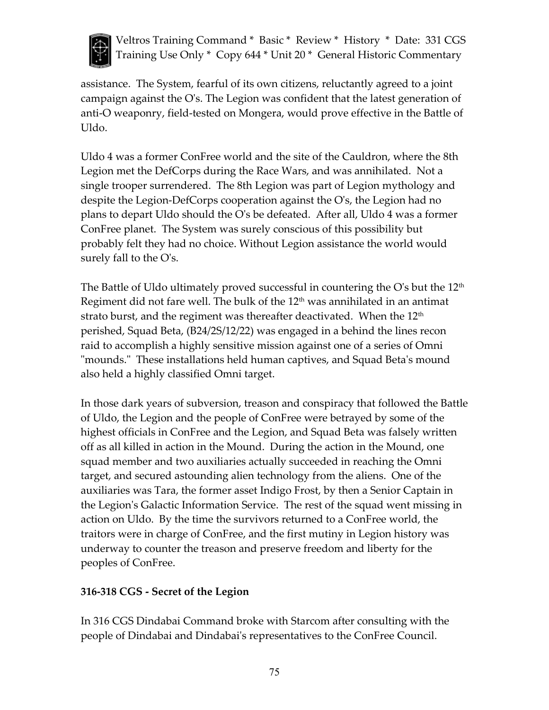

assistance. The System, fearful of its own citizens, reluctantly agreed to a joint campaign against the O's. The Legion was confident that the latest generation of anti-O weaponry, field-tested on Mongera, would prove effective in the Battle of Uldo.

Uldo 4 was a former ConFree world and the site of the Cauldron, where the 8th Legion met the DefCorps during the Race Wars, and was annihilated. Not a single trooper surrendered. The 8th Legion was part of Legion mythology and despite the Legion-DefCorps cooperation against the O's, the Legion had no plans to depart Uldo should the O's be defeated. After all, Uldo 4 was a former ConFree planet. The System was surely conscious of this possibility but probably felt they had no choice. Without Legion assistance the world would surely fall to the O's.

The Battle of Uldo ultimately proved successful in countering the O's but the  $12<sup>th</sup>$ Regiment did not fare well. The bulk of the  $12<sup>th</sup>$  was annihilated in an antimat strato burst, and the regiment was thereafter deactivated. When the  $12<sup>th</sup>$ perished, Squad Beta, (B24/2S/12/22) was engaged in a behind the lines recon raid to accomplish a highly sensitive mission against one of a series of Omni "mounds." These installations held human captives, and Squad Beta's mound also held a highly classified Omni target.

In those dark years of subversion, treason and conspiracy that followed the Battle of Uldo, the Legion and the people of ConFree were betrayed by some of the highest officials in ConFree and the Legion, and Squad Beta was falsely written off as all killed in action in the Mound. During the action in the Mound, one squad member and two auxiliaries actually succeeded in reaching the Omni target, and secured astounding alien technology from the aliens. One of the auxiliaries was Tara, the former asset Indigo Frost, by then a Senior Captain in the Legion's Galactic Information Service. The rest of the squad went missing in action on Uldo. By the time the survivors returned to a ConFree world, the traitors were in charge of ConFree, and the first mutiny in Legion history was underway to counter the treason and preserve freedom and liberty for the peoples of ConFree.

## **316-318 CGS - Secret of the Legion**

In 316 CGS Dindabai Command broke with Starcom after consulting with the people of Dindabai and Dindabai's representatives to the ConFree Council.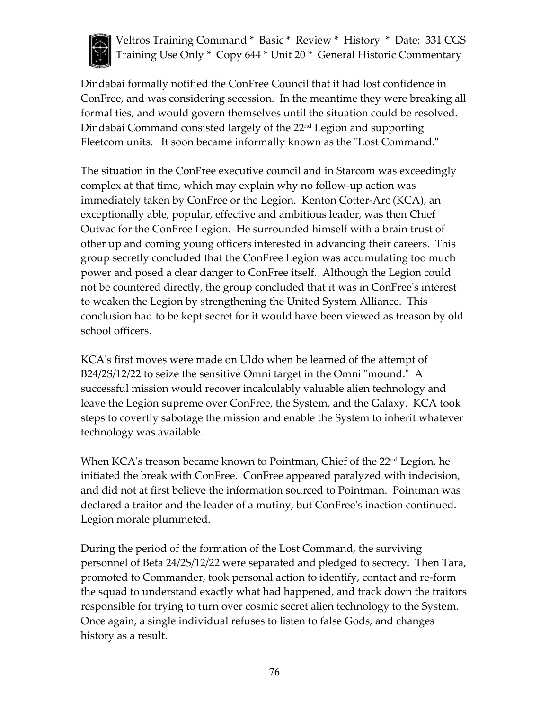

Dindabai formally notified the ConFree Council that it had lost confidence in ConFree, and was considering secession. In the meantime they were breaking all formal ties, and would govern themselves until the situation could be resolved. Dindabai Command consisted largely of the 22<sup>nd</sup> Legion and supporting Fleetcom units. It soon became informally known as the "Lost Command."

The situation in the ConFree executive council and in Starcom was exceedingly complex at that time, which may explain why no follow-up action was immediately taken by ConFree or the Legion. Kenton Cotter-Arc (KCA), an exceptionally able, popular, effective and ambitious leader, was then Chief Outvac for the ConFree Legion. He surrounded himself with a brain trust of other up and coming young officers interested in advancing their careers. This group secretly concluded that the ConFree Legion was accumulating too much power and posed a clear danger to ConFree itself. Although the Legion could not be countered directly, the group concluded that it was in ConFree's interest to weaken the Legion by strengthening the United System Alliance. This conclusion had to be kept secret for it would have been viewed as treason by old school officers.

KCA's first moves were made on Uldo when he learned of the attempt of B24/2S/12/22 to seize the sensitive Omni target in the Omni "mound." A successful mission would recover incalculably valuable alien technology and leave the Legion supreme over ConFree, the System, and the Galaxy. KCA took steps to covertly sabotage the mission and enable the System to inherit whatever technology was available.

When KCA's treason became known to Pointman, Chief of the 22<sup>nd</sup> Legion, he initiated the break with ConFree. ConFree appeared paralyzed with indecision, and did not at first believe the information sourced to Pointman. Pointman was declared a traitor and the leader of a mutiny, but ConFree's inaction continued. Legion morale plummeted.

During the period of the formation of the Lost Command, the surviving personnel of Beta 24/2S/12/22 were separated and pledged to secrecy. Then Tara, promoted to Commander, took personal action to identify, contact and re-form the squad to understand exactly what had happened, and track down the traitors responsible for trying to turn over cosmic secret alien technology to the System. Once again, a single individual refuses to listen to false Gods, and changes history as a result.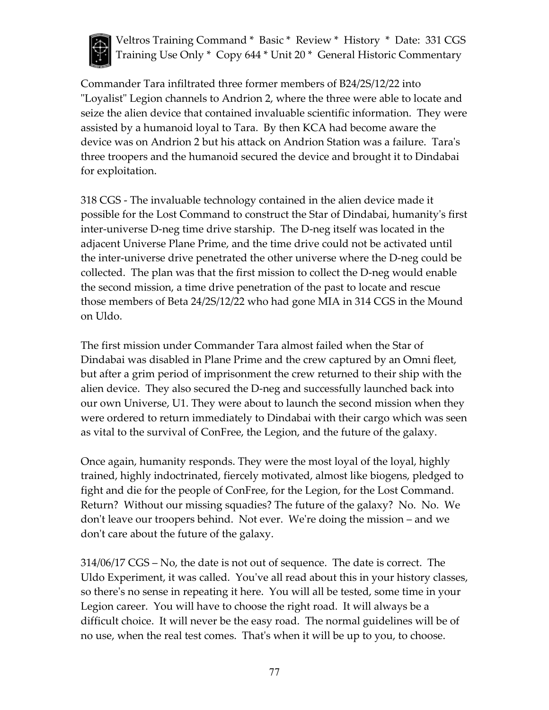

Commander Tara infiltrated three former members of B24/2S/12/22 into "Loyalist" Legion channels to Andrion 2, where the three were able to locate and seize the alien device that contained invaluable scientific information. They were assisted by a humanoid loyal to Tara. By then KCA had become aware the device was on Andrion 2 but his attack on Andrion Station was a failure. Tara's three troopers and the humanoid secured the device and brought it to Dindabai for exploitation.

318 CGS - The invaluable technology contained in the alien device made it possible for the Lost Command to construct the Star of Dindabai, humanity's first inter-universe D-neg time drive starship. The D-neg itself was located in the adjacent Universe Plane Prime, and the time drive could not be activated until the inter-universe drive penetrated the other universe where the D-neg could be collected. The plan was that the first mission to collect the D-neg would enable the second mission, a time drive penetration of the past to locate and rescue those members of Beta 24/2S/12/22 who had gone MIA in 314 CGS in the Mound on Uldo.

The first mission under Commander Tara almost failed when the Star of Dindabai was disabled in Plane Prime and the crew captured by an Omni fleet, but after a grim period of imprisonment the crew returned to their ship with the alien device. They also secured the D-neg and successfully launched back into our own Universe, U1. They were about to launch the second mission when they were ordered to return immediately to Dindabai with their cargo which was seen as vital to the survival of ConFree, the Legion, and the future of the galaxy.

Once again, humanity responds. They were the most loyal of the loyal, highly trained, highly indoctrinated, fiercely motivated, almost like biogens, pledged to fight and die for the people of ConFree, for the Legion, for the Lost Command. Return? Without our missing squadies? The future of the galaxy? No. No. We don't leave our troopers behind. Not ever. We're doing the mission – and we don't care about the future of the galaxy.

314/06/17 CGS – No, the date is not out of sequence. The date is correct. The Uldo Experiment, it was called. You've all read about this in your history classes, so there's no sense in repeating it here. You will all be tested, some time in your Legion career. You will have to choose the right road. It will always be a difficult choice. It will never be the easy road. The normal guidelines will be of no use, when the real test comes. That's when it will be up to you, to choose.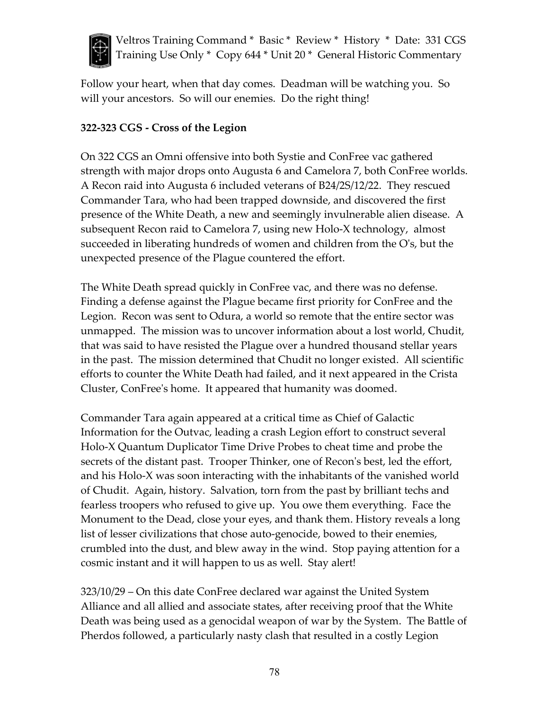

Follow your heart, when that day comes. Deadman will be watching you. So will your ancestors. So will our enemies. Do the right thing!

#### **322-323 CGS - Cross of the Legion**

On 322 CGS an Omni offensive into both Systie and ConFree vac gathered strength with major drops onto Augusta 6 and Camelora 7, both ConFree worlds. A Recon raid into Augusta 6 included veterans of B24/2S/12/22. They rescued Commander Tara, who had been trapped downside, and discovered the first presence of the White Death, a new and seemingly invulnerable alien disease. A subsequent Recon raid to Camelora 7, using new Holo-X technology, almost succeeded in liberating hundreds of women and children from the O's, but the unexpected presence of the Plague countered the effort.

The White Death spread quickly in ConFree vac, and there was no defense. Finding a defense against the Plague became first priority for ConFree and the Legion. Recon was sent to Odura, a world so remote that the entire sector was unmapped. The mission was to uncover information about a lost world, Chudit, that was said to have resisted the Plague over a hundred thousand stellar years in the past. The mission determined that Chudit no longer existed. All scientific efforts to counter the White Death had failed, and it next appeared in the Crista Cluster, ConFree's home. It appeared that humanity was doomed.

Commander Tara again appeared at a critical time as Chief of Galactic Information for the Outvac, leading a crash Legion effort to construct several Holo-X Quantum Duplicator Time Drive Probes to cheat time and probe the secrets of the distant past. Trooper Thinker, one of Recon's best, led the effort, and his Holo-X was soon interacting with the inhabitants of the vanished world of Chudit. Again, history. Salvation, torn from the past by brilliant techs and fearless troopers who refused to give up. You owe them everything. Face the Monument to the Dead, close your eyes, and thank them. History reveals a long list of lesser civilizations that chose auto-genocide, bowed to their enemies, crumbled into the dust, and blew away in the wind. Stop paying attention for a cosmic instant and it will happen to us as well. Stay alert!

323/10/29 – On this date ConFree declared war against the United System Alliance and all allied and associate states, after receiving proof that the White Death was being used as a genocidal weapon of war by the System. The Battle of Pherdos followed, a particularly nasty clash that resulted in a costly Legion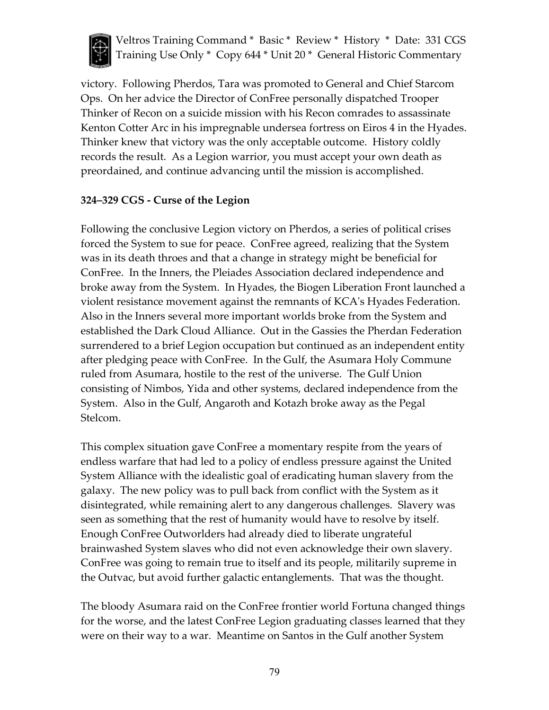

victory. Following Pherdos, Tara was promoted to General and Chief Starcom Ops. On her advice the Director of ConFree personally dispatched Trooper Thinker of Recon on a suicide mission with his Recon comrades to assassinate Kenton Cotter Arc in his impregnable undersea fortress on Eiros 4 in the Hyades. Thinker knew that victory was the only acceptable outcome. History coldly records the result. As a Legion warrior, you must accept your own death as preordained, and continue advancing until the mission is accomplished.

#### **324–329 CGS - Curse of the Legion**

Following the conclusive Legion victory on Pherdos, a series of political crises forced the System to sue for peace. ConFree agreed, realizing that the System was in its death throes and that a change in strategy might be beneficial for ConFree. In the Inners, the Pleiades Association declared independence and broke away from the System. In Hyades, the Biogen Liberation Front launched a violent resistance movement against the remnants of KCA's Hyades Federation. Also in the Inners several more important worlds broke from the System and established the Dark Cloud Alliance. Out in the Gassies the Pherdan Federation surrendered to a brief Legion occupation but continued as an independent entity after pledging peace with ConFree. In the Gulf, the Asumara Holy Commune ruled from Asumara, hostile to the rest of the universe. The Gulf Union consisting of Nimbos, Yida and other systems, declared independence from the System. Also in the Gulf, Angaroth and Kotazh broke away as the Pegal Stelcom.

This complex situation gave ConFree a momentary respite from the years of endless warfare that had led to a policy of endless pressure against the United System Alliance with the idealistic goal of eradicating human slavery from the galaxy. The new policy was to pull back from conflict with the System as it disintegrated, while remaining alert to any dangerous challenges. Slavery was seen as something that the rest of humanity would have to resolve by itself. Enough ConFree Outworlders had already died to liberate ungrateful brainwashed System slaves who did not even acknowledge their own slavery. ConFree was going to remain true to itself and its people, militarily supreme in the Outvac, but avoid further galactic entanglements. That was the thought.

The bloody Asumara raid on the ConFree frontier world Fortuna changed things for the worse, and the latest ConFree Legion graduating classes learned that they were on their way to a war. Meantime on Santos in the Gulf another System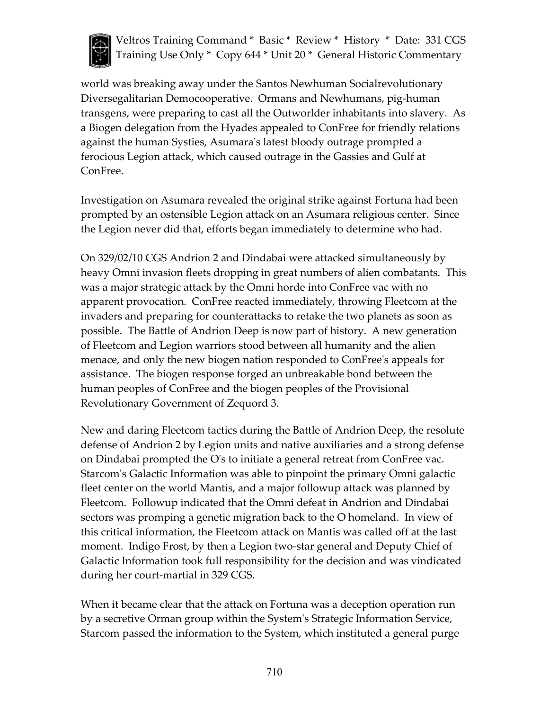

world was breaking away under the Santos Newhuman Socialrevolutionary Diversegalitarian Democooperative. Ormans and Newhumans, pig-human transgens, were preparing to cast all the Outworlder inhabitants into slavery. As a Biogen delegation from the Hyades appealed to ConFree for friendly relations against the human Systies, Asumara's latest bloody outrage prompted a ferocious Legion attack, which caused outrage in the Gassies and Gulf at ConFree.

Investigation on Asumara revealed the original strike against Fortuna had been prompted by an ostensible Legion attack on an Asumara religious center. Since the Legion never did that, efforts began immediately to determine who had.

On 329/02/10 CGS Andrion 2 and Dindabai were attacked simultaneously by heavy Omni invasion fleets dropping in great numbers of alien combatants. This was a major strategic attack by the Omni horde into ConFree vac with no apparent provocation. ConFree reacted immediately, throwing Fleetcom at the invaders and preparing for counterattacks to retake the two planets as soon as possible. The Battle of Andrion Deep is now part of history. A new generation of Fleetcom and Legion warriors stood between all humanity and the alien menace, and only the new biogen nation responded to ConFree's appeals for assistance. The biogen response forged an unbreakable bond between the human peoples of ConFree and the biogen peoples of the Provisional Revolutionary Government of Zequord 3.

New and daring Fleetcom tactics during the Battle of Andrion Deep, the resolute defense of Andrion 2 by Legion units and native auxiliaries and a strong defense on Dindabai prompted the O's to initiate a general retreat from ConFree vac. Starcom's Galactic Information was able to pinpoint the primary Omni galactic fleet center on the world Mantis, and a major followup attack was planned by Fleetcom. Followup indicated that the Omni defeat in Andrion and Dindabai sectors was promping a genetic migration back to the O homeland. In view of this critical information, the Fleetcom attack on Mantis was called off at the last moment. Indigo Frost, by then a Legion two-star general and Deputy Chief of Galactic Information took full responsibility for the decision and was vindicated during her court-martial in 329 CGS.

When it became clear that the attack on Fortuna was a deception operation run by a secretive Orman group within the System's Strategic Information Service, Starcom passed the information to the System, which instituted a general purge